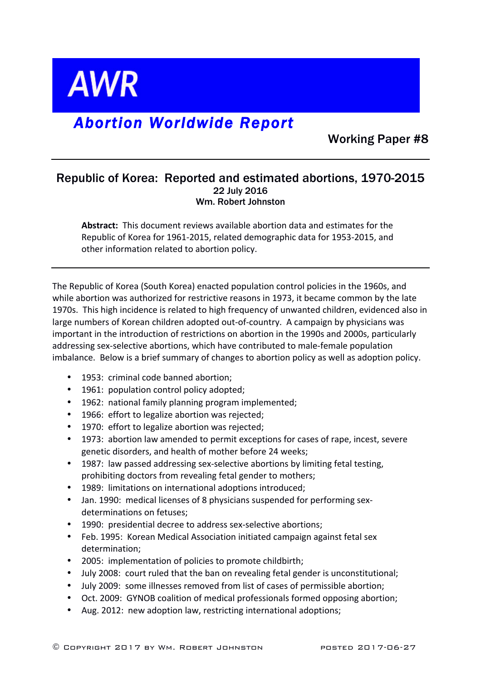

# *Abortion Worldwide Report*

Working Paper #8

### Republic of Korea: Reported and estimated abortions, 1970-2015 22 July 2016 Wm. Robert Johnston

**Abstract:** This document reviews available abortion data and estimates for the Republic of Korea for 1961-2015, related demographic data for 1953-2015, and other information related to abortion policy.

The Republic of Korea (South Korea) enacted population control policies in the 1960s, and while abortion was authorized for restrictive reasons in 1973, it became common by the late 1970s. This high incidence is related to high frequency of unwanted children, evidenced also in large numbers of Korean children adopted out-of-country. A campaign by physicians was important in the introduction of restrictions on abortion in the 1990s and 2000s, particularly addressing sex-selective abortions, which have contributed to male-female population imbalance. Below is a brief summary of changes to abortion policy as well as adoption policy.

- 1953: criminal code banned abortion;
- 1961: population control policy adopted;
- 1962: national family planning program implemented;
- 1966: effort to legalize abortion was rejected;
- 1970: effort to legalize abortion was rejected;
- 1973: abortion law amended to permit exceptions for cases of rape, incest, severe genetic disorders, and health of mother before 24 weeks;
- 1987: law passed addressing sex-selective abortions by limiting fetal testing, prohibiting doctors from revealing fetal gender to mothers;
- 1989: limitations on international adoptions introduced;
- Jan. 1990: medical licenses of 8 physicians suspended for performing sexdeterminations on fetuses;
- 1990: presidential decree to address sex-selective abortions;
- Feb. 1995: Korean Medical Association initiated campaign against fetal sex determination;
- 2005: implementation of policies to promote childbirth;
- July 2008: court ruled that the ban on revealing fetal gender is unconstitutional;
- July 2009: some illnesses removed from list of cases of permissible abortion;
- Oct. 2009: GYNOB coalition of medical professionals formed opposing abortion;
- Aug. 2012: new adoption law, restricting international adoptions;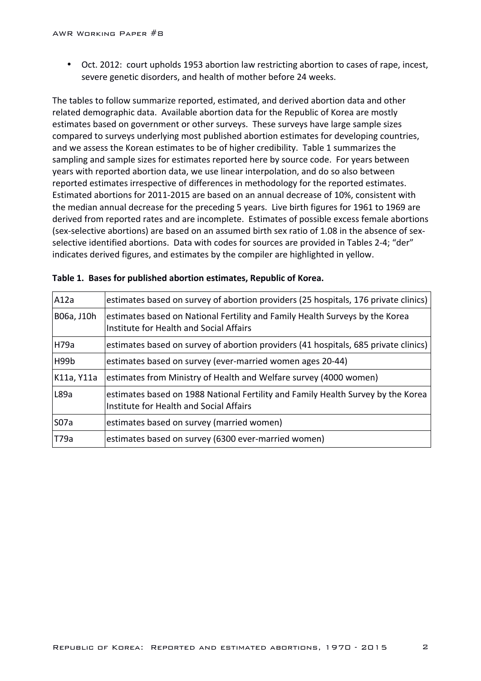• Oct. 2012: court upholds 1953 abortion law restricting abortion to cases of rape, incest, severe genetic disorders, and health of mother before 24 weeks.

The tables to follow summarize reported, estimated, and derived abortion data and other related demographic data. Available abortion data for the Republic of Korea are mostly estimates based on government or other surveys. These surveys have large sample sizes compared to surveys underlying most published abortion estimates for developing countries, and we assess the Korean estimates to be of higher credibility. Table 1 summarizes the sampling and sample sizes for estimates reported here by source code. For years between years with reported abortion data, we use linear interpolation, and do so also between reported estimates irrespective of differences in methodology for the reported estimates. Estimated abortions for 2011-2015 are based on an annual decrease of 10%, consistent with the median annual decrease for the preceding 5 years. Live birth figures for 1961 to 1969 are derived from reported rates and are incomplete. Estimates of possible excess female abortions (sex-selective abortions) are based on an assumed birth sex ratio of 1.08 in the absence of sexselective identified abortions. Data with codes for sources are provided in Tables 2-4; "der" indicates derived figures, and estimates by the compiler are highlighted in yellow.

| A12a       | estimates based on survey of abortion providers (25 hospitals, 176 private clinics)                                         |
|------------|-----------------------------------------------------------------------------------------------------------------------------|
| B06a, J10h | estimates based on National Fertility and Family Health Surveys by the Korea<br>Institute for Health and Social Affairs     |
| H79a       | estimates based on survey of abortion providers (41 hospitals, 685 private clinics)                                         |
| H99b       | estimates based on survey (ever-married women ages 20-44)                                                                   |
| K11a, Y11a | estimates from Ministry of Health and Welfare survey (4000 women)                                                           |
| L89a       | estimates based on 1988 National Fertility and Family Health Survey by the Korea<br>Institute for Health and Social Affairs |
| S07a       | estimates based on survey (married women)                                                                                   |
| T79a       | estimates based on survey (6300 ever-married women)                                                                         |

|  |  |  |  |  | Table 1. Bases for published abortion estimates, Republic of Korea. |
|--|--|--|--|--|---------------------------------------------------------------------|
|--|--|--|--|--|---------------------------------------------------------------------|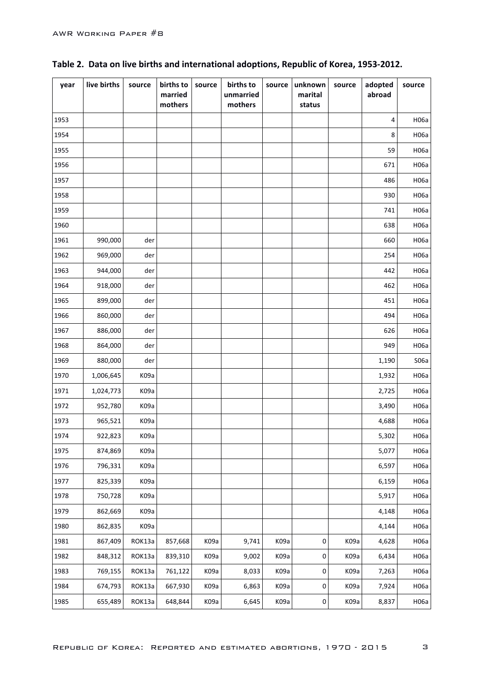| year | live births | source            | births to<br>married<br>mothers | source | births to<br>unmarried<br>mothers | source | unknown<br>marital<br>status | source | adopted<br>abroad | source |
|------|-------------|-------------------|---------------------------------|--------|-----------------------------------|--------|------------------------------|--------|-------------------|--------|
| 1953 |             |                   |                                 |        |                                   |        |                              |        | 4                 | H06a   |
| 1954 |             |                   |                                 |        |                                   |        |                              |        | 8                 | H06a   |
| 1955 |             |                   |                                 |        |                                   |        |                              |        | 59                | H06a   |
| 1956 |             |                   |                                 |        |                                   |        |                              |        | 671               | H06a   |
| 1957 |             |                   |                                 |        |                                   |        |                              |        | 486               | H06a   |
| 1958 |             |                   |                                 |        |                                   |        |                              |        | 930               | H06a   |
| 1959 |             |                   |                                 |        |                                   |        |                              |        | 741               | H06a   |
| 1960 |             |                   |                                 |        |                                   |        |                              |        | 638               | H06a   |
| 1961 | 990,000     | der               |                                 |        |                                   |        |                              |        | 660               | H06a   |
| 1962 | 969,000     | der               |                                 |        |                                   |        |                              |        | 254               | H06a   |
| 1963 | 944,000     | der               |                                 |        |                                   |        |                              |        | 442               | H06a   |
| 1964 | 918,000     | der               |                                 |        |                                   |        |                              |        | 462               | H06a   |
| 1965 | 899,000     | der               |                                 |        |                                   |        |                              |        | 451               | H06a   |
| 1966 | 860,000     | der               |                                 |        |                                   |        |                              |        | 494               | H06a   |
| 1967 | 886,000     | der               |                                 |        |                                   |        |                              |        | 626               | H06a   |
| 1968 | 864,000     | der               |                                 |        |                                   |        |                              |        | 949               | H06a   |
| 1969 | 880,000     | der               |                                 |        |                                   |        |                              |        | 1,190             | S06a   |
| 1970 | 1,006,645   | K09a              |                                 |        |                                   |        |                              |        | 1,932             | H06a   |
| 1971 | 1,024,773   | K <sub>09</sub> a |                                 |        |                                   |        |                              |        | 2,725             | H06a   |
| 1972 | 952,780     | K09a              |                                 |        |                                   |        |                              |        | 3,490             | H06a   |
| 1973 | 965,521     | K09a              |                                 |        |                                   |        |                              |        | 4,688             | H06a   |
| 1974 | 922,823     | K09a              |                                 |        |                                   |        |                              |        | 5,302             | H06a   |
| 1975 | 874,869     | K09a              |                                 |        |                                   |        |                              |        | 5,077             | H06a   |
| 1976 | 796,331     | K09a              |                                 |        |                                   |        |                              |        | 6,597             | H06a   |
| 1977 | 825,339     | K09a              |                                 |        |                                   |        |                              |        | 6,159             | H06a   |
| 1978 | 750,728     | K09a              |                                 |        |                                   |        |                              |        | 5,917             | H06a   |
| 1979 | 862,669     | K09a              |                                 |        |                                   |        |                              |        | 4,148             | H06a   |
| 1980 | 862,835     | K09a              |                                 |        |                                   |        |                              |        | 4,144             | H06a   |
| 1981 | 867,409     | ROK13a            | 857,668                         | K09a   | 9,741                             | K09a   | $\pmb{0}$                    | K09a   | 4,628             | H06a   |
| 1982 | 848,312     | ROK13a            | 839,310                         | K09a   | 9,002                             | K09a   | $\pmb{0}$                    | K09a   | 6,434             | H06a   |
| 1983 | 769,155     | ROK13a            | 761,122                         | K09a   | 8,033                             | K09a   | $\pmb{0}$                    | K09a   | 7,263             | H06a   |
| 1984 | 674,793     | ROK13a            | 667,930                         | K09a   | 6,863                             | K09a   | 0                            | K09a   | 7,924             | H06a   |
| 1985 | 655,489     | ROK13a            | 648,844                         | K09a   | 6,645                             | K09a   | $\pmb{0}$                    | K09a   | 8,837             | H06a   |

### Table 2. Data on live births and international adoptions, Republic of Korea, 1953-2012.

 $\mathbf s$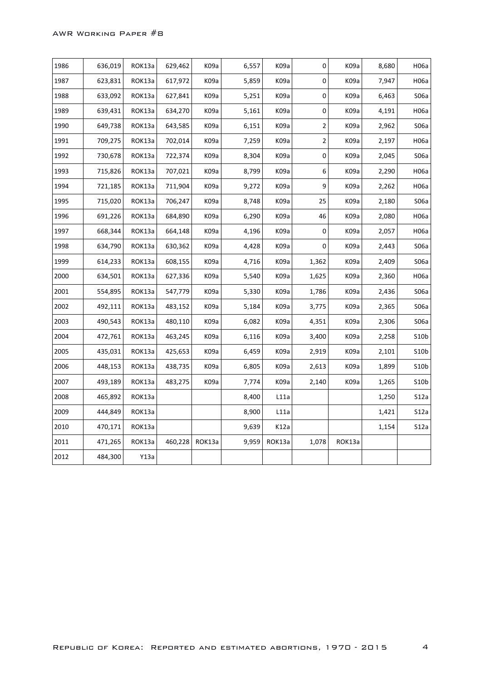| 1986 | 636,019 | ROK13a | 629,462 | K09a              | 6,557 | K <sub>09</sub> a | 0                       | K09a   | 8,680 | H06a              |
|------|---------|--------|---------|-------------------|-------|-------------------|-------------------------|--------|-------|-------------------|
| 1987 | 623,831 | ROK13a | 617,972 | K <sub>09</sub> a | 5,859 | K <sub>09</sub> a | 0                       | K09a   | 7,947 | H06a              |
| 1988 | 633,092 | ROK13a | 627,841 | K <sub>09</sub> a | 5,251 | K <sub>09</sub> a | 0                       | K09a   | 6,463 | S06a              |
| 1989 | 639,431 | ROK13a | 634,270 | K <sub>09</sub> a | 5,161 | K <sub>09</sub> a | $\pmb{0}$               | K09a   | 4,191 | H06a              |
| 1990 | 649,738 | ROK13a | 643,585 | K <sub>09</sub> a | 6,151 | K <sub>09</sub> a | $\overline{\mathbf{c}}$ | K09a   | 2,962 | S <sub>06</sub> a |
| 1991 | 709,275 | ROK13a | 702,014 | K <sub>09</sub> a | 7,259 | K <sub>09</sub> a | $\mathbf 2$             | K09a   | 2,197 | H06a              |
| 1992 | 730,678 | ROK13a | 722,374 | K <sub>09</sub> a | 8,304 | K <sub>09</sub> a | 0                       | K09a   | 2,045 | S06a              |
| 1993 | 715,826 | ROK13a | 707,021 | K09a              | 8,799 | K <sub>09</sub> a | 6                       | K09a   | 2,290 | H06a              |
| 1994 | 721,185 | ROK13a | 711,904 | K09a              | 9,272 | K09a              | 9                       | K09a   | 2,262 | H06a              |
| 1995 | 715,020 | ROK13a | 706,247 | K <sub>09</sub> a | 8,748 | K <sub>09</sub> a | 25                      | K09a   | 2,180 | S06a              |
| 1996 | 691,226 | ROK13a | 684,890 | K <sub>09</sub> a | 6,290 | K <sub>09</sub> a | 46                      | K09a   | 2,080 | H06a              |
| 1997 | 668,344 | ROK13a | 664,148 | K <sub>09</sub> a | 4,196 | K <sub>09</sub> a | 0                       | K09a   | 2,057 | H06a              |
| 1998 | 634,790 | ROK13a | 630,362 | K <sub>09</sub> a | 4,428 | K <sub>09</sub> a | 0                       | K09a   | 2,443 | S06a              |
| 1999 | 614,233 | ROK13a | 608,155 | K <sub>09a</sub>  | 4,716 | K <sub>09</sub> a | 1,362                   | K09a   | 2,409 | S06a              |
| 2000 | 634,501 | ROK13a | 627,336 | K <sub>09</sub> a | 5,540 | K <sub>09</sub> a | 1,625                   | K09a   | 2,360 | H06a              |
| 2001 | 554,895 | ROK13a | 547,779 | K <sub>09</sub> a | 5,330 | K <sub>09</sub> a | 1,786                   | K09a   | 2,436 | S06a              |
| 2002 | 492,111 | ROK13a | 483,152 | K09a              | 5,184 | K09a              | 3,775                   | K09a   | 2,365 | S06a              |
| 2003 | 490,543 | ROK13a | 480,110 | K <sub>09</sub> a | 6,082 | K09a              | 4,351                   | K09a   | 2,306 | S <sub>06</sub> a |
| 2004 | 472,761 | ROK13a | 463,245 | K <sub>09</sub> a | 6,116 | K <sub>09</sub> a | 3,400                   | K09a   | 2,258 | 510 <sub>b</sub>  |
| 2005 | 435,031 | ROK13a | 425,653 | K <sub>09</sub> a | 6,459 | K09a              | 2,919                   | K09a   | 2,101 | S10b              |
| 2006 | 448,153 | ROK13a | 438,735 | K <sub>09</sub> a | 6,805 | K09a              | 2,613                   | K09a   | 1,899 | S10b              |
| 2007 | 493,189 | ROK13a | 483,275 | K09a              | 7,774 | K <sub>09</sub> a | 2,140                   | K09a   | 1,265 | S10b              |
| 2008 | 465,892 | ROK13a |         |                   | 8,400 | L11a              |                         |        | 1,250 | S12a              |
| 2009 | 444,849 | ROK13a |         |                   | 8,900 | L11a              |                         |        | 1,421 | S12a              |
| 2010 | 470,171 | ROK13a |         |                   | 9,639 | K12a              |                         |        | 1,154 | S12a              |
| 2011 | 471,265 | ROK13a | 460,228 | ROK13a            | 9,959 | ROK13a            | 1,078                   | ROK13a |       |                   |
| 2012 | 484,300 | Y13a   |         |                   |       |                   |                         |        |       |                   |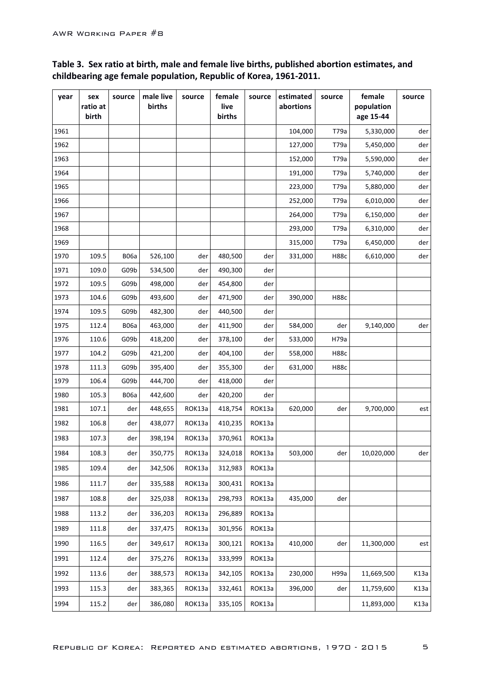| year | sex<br>ratio at<br>birth | source      | male live<br>births | source | female<br>live<br>births | source | estimated<br>abortions | source      | female<br>population<br>age 15-44 | source |
|------|--------------------------|-------------|---------------------|--------|--------------------------|--------|------------------------|-------------|-----------------------------------|--------|
| 1961 |                          |             |                     |        |                          |        | 104,000                | T79a        | 5,330,000                         | der    |
| 1962 |                          |             |                     |        |                          |        | 127,000                | T79a        | 5,450,000                         | der    |
| 1963 |                          |             |                     |        |                          |        | 152,000                | T79a        | 5,590,000                         | der    |
| 1964 |                          |             |                     |        |                          |        | 191,000                | T79a        | 5,740,000                         | der    |
| 1965 |                          |             |                     |        |                          |        | 223,000                | T79a        | 5,880,000                         | der    |
| 1966 |                          |             |                     |        |                          |        | 252,000                | T79a        | 6,010,000                         | der    |
| 1967 |                          |             |                     |        |                          |        | 264,000                | T79a        | 6,150,000                         | der    |
| 1968 |                          |             |                     |        |                          |        | 293,000                | T79a        | 6,310,000                         | der    |
| 1969 |                          |             |                     |        |                          |        | 315,000                | T79a        | 6,450,000                         | der    |
| 1970 | 109.5                    | <b>B06a</b> | 526,100             | der    | 480,500                  | der    | 331,000                | <b>H88c</b> | 6,610,000                         | der    |
| 1971 | 109.0                    | G09b        | 534,500             | der    | 490,300                  | der    |                        |             |                                   |        |
| 1972 | 109.5                    | G09b        | 498,000             | der    | 454,800                  | der    |                        |             |                                   |        |
| 1973 | 104.6                    | G09b        | 493,600             | der    | 471,900                  | der    | 390,000                | <b>H88c</b> |                                   |        |
| 1974 | 109.5                    | G09b        | 482,300             | der    | 440,500                  | der    |                        |             |                                   |        |
| 1975 | 112.4                    | <b>B06a</b> | 463,000             | der    | 411,900                  | der    | 584,000                | der         | 9,140,000                         | der    |
| 1976 | 110.6                    | G09b        | 418,200             | der    | 378,100                  | der    | 533,000                | H79a        |                                   |        |
| 1977 | 104.2                    | G09b        | 421,200             | der    | 404,100                  | der    | 558,000                | H88c        |                                   |        |
| 1978 | 111.3                    | G09b        | 395,400             | der    | 355,300                  | der    | 631,000                | H88c        |                                   |        |
| 1979 | 106.4                    | G09b        | 444,700             | der    | 418,000                  | der    |                        |             |                                   |        |
| 1980 | 105.3                    | <b>B06a</b> | 442,600             | der    | 420,200                  | der    |                        |             |                                   |        |
| 1981 | 107.1                    | der         | 448,655             | ROK13a | 418,754                  | ROK13a | 620,000                | der         | 9,700,000                         | est    |
| 1982 | 106.8                    | der         | 438,077             | ROK13a | 410,235                  | ROK13a |                        |             |                                   |        |
| 1983 | 107.3                    | der         | 398,194             | ROK13a | 370,961                  | ROK13a |                        |             |                                   |        |
| 1984 | 108.3                    | der         | 350,775             | ROK13a | 324,018                  | ROK13a | 503,000                | der         | 10,020,000                        | der    |
| 1985 | 109.4                    | der         | 342,506             | ROK13a | 312,983                  | ROK13a |                        |             |                                   |        |
| 1986 | 111.7                    | der         | 335,588             | ROK13a | 300,431                  | ROK13a |                        |             |                                   |        |
| 1987 | 108.8                    | der         | 325,038             | ROK13a | 298,793                  | ROK13a | 435,000                | der         |                                   |        |
| 1988 | 113.2                    | der         | 336,203             | ROK13a | 296,889                  | ROK13a |                        |             |                                   |        |
| 1989 | 111.8                    | der         | 337,475             | ROK13a | 301,956                  | ROK13a |                        |             |                                   |        |
| 1990 | 116.5                    | der         | 349,617             | ROK13a | 300,121                  | ROK13a | 410,000                | der         | 11,300,000                        | est    |
| 1991 | 112.4                    | der         | 375,276             | ROK13a | 333,999                  | ROK13a |                        |             |                                   |        |
| 1992 | 113.6                    | der         | 388,573             | ROK13a | 342,105                  | ROK13a | 230,000                | H99a        | 11,669,500                        | K13a   |
| 1993 | 115.3                    | der         | 383,365             | ROK13a | 332,461                  | ROK13a | 396,000                | der         | 11,759,600                        | K13a   |
| 1994 | 115.2                    | der         | 386,080             | ROK13a | 335,105                  | ROK13a |                        |             | 11,893,000                        | K13a   |

### Table 3. Sex ratio at birth, male and female live births, published abortion estimates, and childbearing age female population, Republic of Korea, 1961-2011.

5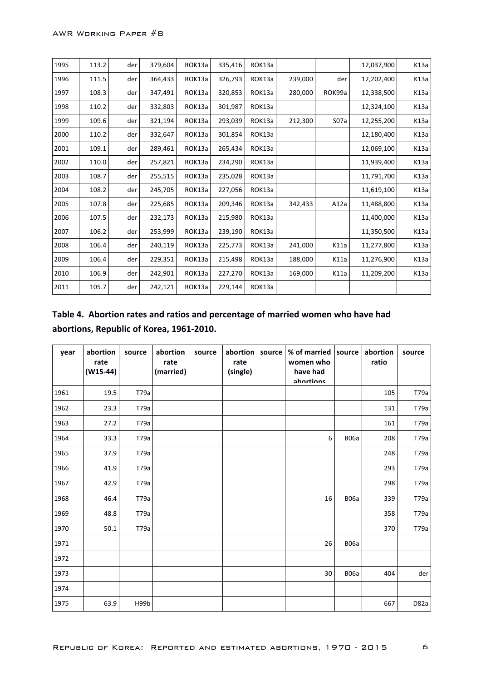| 1995 | 113.2 | der | 379,604 | ROK13a | 335,416 | ROK13a |         |                  | 12,037,900 | K13a |
|------|-------|-----|---------|--------|---------|--------|---------|------------------|------------|------|
| 1996 | 111.5 | der | 364,433 | ROK13a | 326,793 | ROK13a | 239,000 | der              | 12,202,400 | K13a |
| 1997 | 108.3 | der | 347,491 | ROK13a | 320,853 | ROK13a | 280,000 | ROK99a           | 12,338,500 | K13a |
| 1998 | 110.2 | der | 332,803 | ROK13a | 301,987 | ROK13a |         |                  | 12,324,100 | K13a |
| 1999 | 109.6 | der | 321,194 | ROK13a | 293,039 | ROK13a | 212,300 | S <sub>07a</sub> | 12,255,200 | K13a |
| 2000 | 110.2 | der | 332,647 | ROK13a | 301,854 | ROK13a |         |                  | 12,180,400 | K13a |
| 2001 | 109.1 | der | 289,461 | ROK13a | 265,434 | ROK13a |         |                  | 12,069,100 | K13a |
| 2002 | 110.0 | der | 257,821 | ROK13a | 234,290 | ROK13a |         |                  | 11,939,400 | K13a |
| 2003 | 108.7 | der | 255,515 | ROK13a | 235,028 | ROK13a |         |                  | 11,791,700 | K13a |
| 2004 | 108.2 | der | 245,705 | ROK13a | 227,056 | ROK13a |         |                  | 11,619,100 | K13a |
| 2005 | 107.8 | der | 225,685 | ROK13a | 209,346 | ROK13a | 342,433 | A12a             | 11,488,800 | K13a |
| 2006 | 107.5 | der | 232,173 | ROK13a | 215,980 | ROK13a |         |                  | 11,400,000 | K13a |
| 2007 | 106.2 | der | 253,999 | ROK13a | 239,190 | ROK13a |         |                  | 11,350,500 | K13a |
| 2008 | 106.4 | der | 240,119 | ROK13a | 225,773 | ROK13a | 241,000 | K11a             | 11,277,800 | K13a |
| 2009 | 106.4 | der | 229,351 | ROK13a | 215,498 | ROK13a | 188,000 | K11a             | 11,276,900 | K13a |
| 2010 | 106.9 | der | 242,901 | ROK13a | 227,270 | ROK13a | 169,000 | K11a             | 11,209,200 | K13a |
| 2011 | 105.7 | der | 242,121 | ROK13a | 229,144 | ROK13a |         |                  |            |      |

## Table 4. Abortion rates and ratios and percentage of married women who have had abortions, Republic of Korea, 1961-2010.

| year | abortion<br>rate<br>$(W15-44)$ | source | abortion<br>rate<br>(married) | source | abortion<br>rate<br>(single) | source | % of married source<br>women who<br>have had<br>ahortions |             | abortion<br>ratio | source |
|------|--------------------------------|--------|-------------------------------|--------|------------------------------|--------|-----------------------------------------------------------|-------------|-------------------|--------|
| 1961 | 19.5                           | T79a   |                               |        |                              |        |                                                           |             | 105               | T79a   |
| 1962 | 23.3                           | T79a   |                               |        |                              |        |                                                           |             | 131               | T79a   |
| 1963 | 27.2                           | T79a   |                               |        |                              |        |                                                           |             | 161               | T79a   |
| 1964 | 33.3                           | T79a   |                               |        |                              |        | 6                                                         | <b>B06a</b> | 208               | T79a   |
| 1965 | 37.9                           | T79a   |                               |        |                              |        |                                                           |             | 248               | T79a   |
| 1966 | 41.9                           | T79a   |                               |        |                              |        |                                                           |             | 293               | T79a   |
| 1967 | 42.9                           | T79a   |                               |        |                              |        |                                                           |             | 298               | T79a   |
| 1968 | 46.4                           | T79a   |                               |        |                              |        | 16                                                        | <b>B06a</b> | 339               | T79a   |
| 1969 | 48.8                           | T79a   |                               |        |                              |        |                                                           |             | 358               | T79a   |
| 1970 | 50.1                           | T79a   |                               |        |                              |        |                                                           |             | 370               | T79a   |
| 1971 |                                |        |                               |        |                              |        | 26                                                        | <b>B06a</b> |                   |        |
| 1972 |                                |        |                               |        |                              |        |                                                           |             |                   |        |
| 1973 |                                |        |                               |        |                              |        | 30                                                        | <b>B06a</b> | 404               | der    |
| 1974 |                                |        |                               |        |                              |        |                                                           |             |                   |        |
| 1975 | 63.9                           | H99b   |                               |        |                              |        |                                                           |             | 667               | D82a   |

6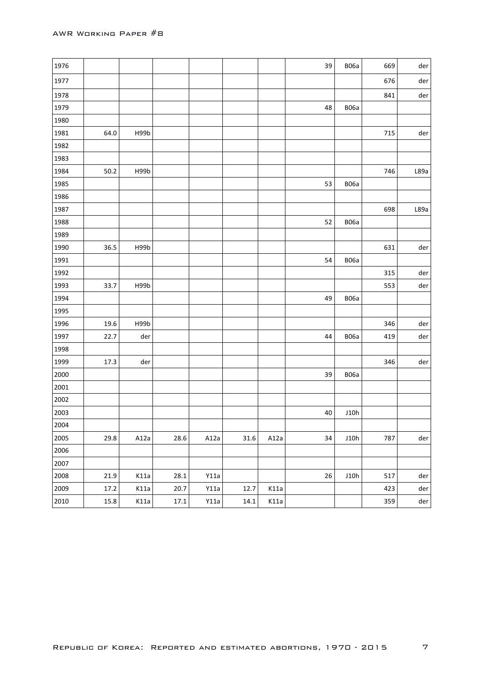| 1976 |      |      |      |      |      |      | 39 | <b>B06a</b> | 669 | der  |
|------|------|------|------|------|------|------|----|-------------|-----|------|
| 1977 |      |      |      |      |      |      |    |             | 676 | der  |
| 1978 |      |      |      |      |      |      |    |             | 841 | der  |
| 1979 |      |      |      |      |      |      | 48 | <b>B06a</b> |     |      |
| 1980 |      |      |      |      |      |      |    |             |     |      |
| 1981 | 64.0 | H99b |      |      |      |      |    |             | 715 | der  |
| 1982 |      |      |      |      |      |      |    |             |     |      |
| 1983 |      |      |      |      |      |      |    |             |     |      |
| 1984 | 50.2 | H99b |      |      |      |      |    |             | 746 | L89a |
| 1985 |      |      |      |      |      |      | 53 | <b>B06a</b> |     |      |
| 1986 |      |      |      |      |      |      |    |             |     |      |
| 1987 |      |      |      |      |      |      |    |             | 698 | L89a |
| 1988 |      |      |      |      |      |      | 52 | <b>B06a</b> |     |      |
| 1989 |      |      |      |      |      |      |    |             |     |      |
| 1990 | 36.5 | H99b |      |      |      |      |    |             | 631 | der  |
| 1991 |      |      |      |      |      |      | 54 | <b>B06a</b> |     |      |
| 1992 |      |      |      |      |      |      |    |             | 315 | der  |
| 1993 | 33.7 | H99b |      |      |      |      |    |             | 553 | der  |
| 1994 |      |      |      |      |      |      | 49 | <b>B06a</b> |     |      |
| 1995 |      |      |      |      |      |      |    |             |     |      |
| 1996 | 19.6 | H99b |      |      |      |      |    |             | 346 | der  |
| 1997 | 22.7 | der  |      |      |      |      | 44 | <b>B06a</b> | 419 | der  |
| 1998 |      |      |      |      |      |      |    |             |     |      |
| 1999 | 17.3 | der  |      |      |      |      |    |             | 346 | der  |
| 2000 |      |      |      |      |      |      | 39 | <b>B06a</b> |     |      |
| 2001 |      |      |      |      |      |      |    |             |     |      |
| 2002 |      |      |      |      |      |      |    |             |     |      |
| 2003 |      |      |      |      |      |      | 40 | J10h        |     |      |
| 2004 |      |      |      |      |      |      |    |             |     |      |
| 2005 | 29.8 | A12a | 28.6 | A12a | 31.6 | A12a | 34 | J10h        | 787 | der  |
| 2006 |      |      |      |      |      |      |    |             |     |      |
| 2007 |      |      |      |      |      |      |    |             |     |      |
| 2008 | 21.9 | K11a | 28.1 | Y11a |      |      | 26 | J10h        | 517 | der  |
| 2009 | 17.2 | K11a | 20.7 | Y11a | 12.7 | K11a |    |             | 423 | der  |
| 2010 | 15.8 | K11a | 17.1 | Y11a | 14.1 | K11a |    |             | 359 | der  |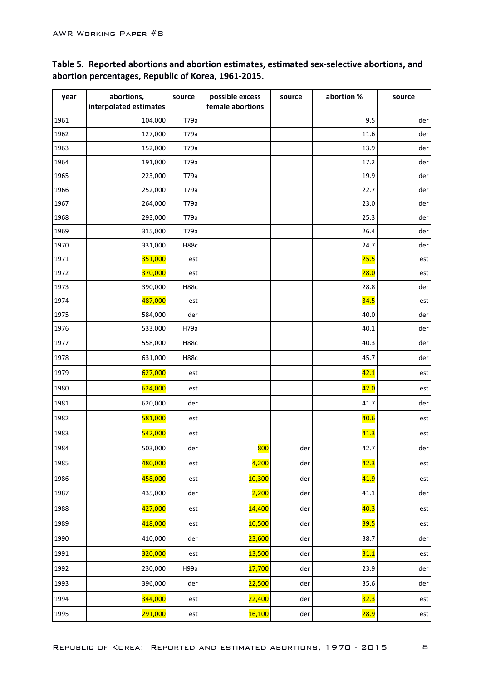| year | abortions,<br>interpolated estimates | source      | possible excess<br>female abortions | source | abortion % | source         |
|------|--------------------------------------|-------------|-------------------------------------|--------|------------|----------------|
| 1961 | 104,000                              | T79a        |                                     |        | 9.5        | der            |
| 1962 | 127,000                              | T79a        |                                     |        | 11.6       | der            |
| 1963 | 152,000                              | T79a        |                                     |        | 13.9       | der            |
| 1964 | 191,000                              | T79a        |                                     |        | 17.2       | der            |
| 1965 | 223,000                              | T79a        |                                     |        | 19.9       | der            |
| 1966 | 252,000                              | T79a        |                                     |        | 22.7       | der            |
| 1967 | 264,000                              | T79a        |                                     |        | 23.0       | der            |
| 1968 | 293,000                              | T79a        |                                     |        | 25.3       | der            |
| 1969 | 315,000                              | T79a        |                                     |        | 26.4       | der            |
| 1970 | 331,000                              | <b>H88c</b> |                                     |        | 24.7       | der            |
| 1971 | 351,000                              | est         |                                     |        | 25.5       | est            |
| 1972 | 370,000                              | est         |                                     |        | 28.0       | est            |
| 1973 | 390,000                              | <b>H88c</b> |                                     |        | 28.8       | der            |
| 1974 | 487,000                              | est         |                                     |        | 34.5       | est            |
| 1975 | 584,000                              | der         |                                     |        | 40.0       | der            |
| 1976 | 533,000                              | H79a        |                                     |        | 40.1       | der            |
| 1977 | 558,000                              | <b>H88c</b> |                                     |        | 40.3       | der            |
| 1978 | 631,000                              | <b>H88c</b> |                                     |        | 45.7       | der            |
| 1979 | 627,000                              | est         |                                     |        | 42.1       | est            |
| 1980 | 624,000                              | est         |                                     |        | 42.0       | est            |
| 1981 | 620,000                              | der         |                                     |        | 41.7       | der            |
| 1982 | 581,000                              | est         |                                     |        | 40.6       | est            |
| 1983 | 542,000                              | est         |                                     |        | 41.3       | est            |
| 1984 | 503,000                              | der         | 800                                 | der    | 42.7       | der            |
| 1985 | 480,000                              | est         | 4,200                               | der    | 42.3       | est            |
| 1986 | 458,000                              | est         | 10,300                              | der    | 41.9       | $\mathsf{est}$ |
| 1987 | 435,000                              | der         | 2,200                               | der    | 41.1       | der            |
| 1988 | 427,000                              | est         | 14,400                              | der    | 40.3       | est            |
| 1989 | 418,000                              | est         | 10,500                              | der    | 39.5       | est            |
| 1990 | 410,000                              | der         | 23,600                              | der    | 38.7       | der            |
| 1991 | 320,000                              | est         | <b>13,500</b>                       | der    | 31.1       | est            |
| 1992 | 230,000                              | H99a        | 17,700                              | der    | 23.9       | der            |
| 1993 | 396,000                              | der         | 22,500                              | der    | 35.6       | der            |
| 1994 | 344,000                              | est         | 22,400                              | der    | 32.3       | est            |
| 1995 | 291,000                              | est         | 16,100                              | der    | 28.9       | $\mathsf{est}$ |

### Table 5. Reported abortions and abortion estimates, estimated sex-selective abortions, and abortion percentages, Republic of Korea, 1961-2015.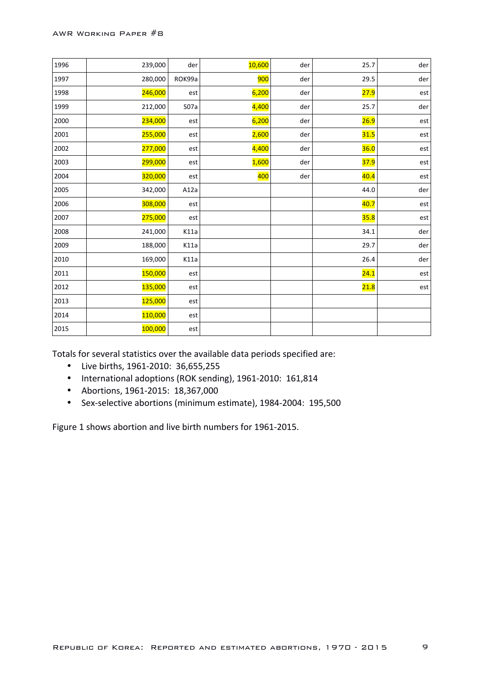| 1996 | 239,000 | der              | 10,600     | der | 25.7 | der |
|------|---------|------------------|------------|-----|------|-----|
| 1997 | 280,000 | ROK99a           | <b>900</b> | der | 29.5 | der |
| 1998 | 246,000 | est              | 6,200      | der | 27.9 | est |
| 1999 | 212,000 | S <sub>07a</sub> | 4,400      | der | 25.7 | der |
| 2000 | 234,000 | est              | 6,200      | der | 26.9 | est |
| 2001 | 255,000 | est              | 2,600      | der | 31.5 | est |
| 2002 | 277,000 | est              | 4,400      | der | 36.0 | est |
| 2003 | 299,000 | est              | 1,600      | der | 37.9 | est |
| 2004 | 320,000 | est              | 400        | der | 40.4 | est |
| 2005 | 342,000 | A12a             |            |     | 44.0 | der |
| 2006 | 308,000 | est              |            |     | 40.7 | est |
| 2007 | 275,000 | est              |            |     | 35.8 | est |
| 2008 | 241,000 | K11a             |            |     | 34.1 | der |
| 2009 | 188,000 | K11a             |            |     | 29.7 | der |
| 2010 | 169,000 | K11a             |            |     | 26.4 | der |
| 2011 | 150,000 | est              |            |     | 24.1 | est |
| 2012 | 135,000 | est              |            |     | 21.8 | est |
| 2013 | 125,000 | est              |            |     |      |     |
| 2014 | 110,000 | est              |            |     |      |     |
| 2015 | 100,000 | est              |            |     |      |     |

Totals for several statistics over the available data periods specified are:

- Live births, 1961-2010: 36,655,255
- International adoptions (ROK sending), 1961-2010: 161,814
- Abortions, 1961-2015: 18,367,000
- Sex-selective abortions (minimum estimate), 1984-2004: 195,500  $\bullet$

Figure 1 shows abortion and live birth numbers for 1961-2015.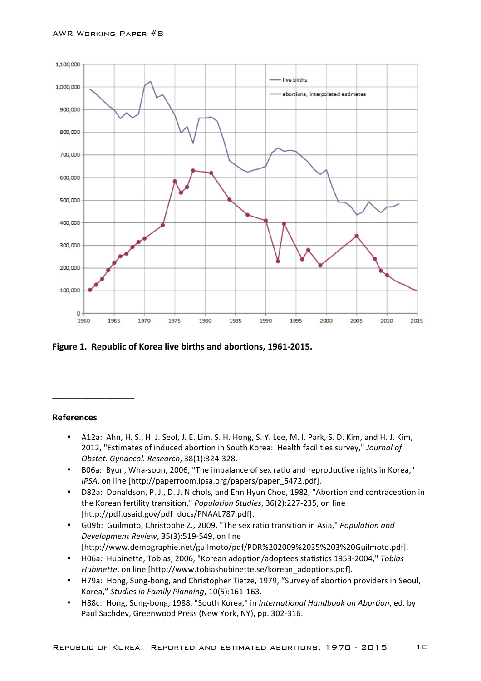

Figure 1. Republic of Korea live births and abortions, 1961-2015.

#### **References**

\_\_\_\_\_\_\_\_\_\_\_\_\_\_\_\_\_

- A12a: Ahn, H. S., H. J. Seol, J. E. Lim, S. H. Hong, S. Y. Lee, M. I. Park, S. D. Kim, and H. J. Kim, 2012, "Estimates of induced abortion in South Korea: Health facilities survey," Journal of *Obstet. Gynaecol. Research*, 38(1):324-328.
- B06a: Byun, Wha-soon, 2006, "The imbalance of sex ratio and reproductive rights in Korea," *IPSA*, on line [http://paperroom.ipsa.org/papers/paper\_5472.pdf].
- D82a: Donaldson, P. J., D. J. Nichols, and Ehn Hyun Choe, 1982, "Abortion and contraception in the Korean fertility transition," *Population Studies*, 36(2):227-235, on line [http://pdf.usaid.gov/pdf\_docs/PNAAL787.pdf].
- G09b: Guilmoto, Christophe Z., 2009, "The sex ratio transition in Asia," *Population and Development Review*, 35(3):519-549, on line [http://www.demographie.net/guilmoto/pdf/PDR%202009%2035%203%20Guilmoto.pdf].
- H06a: Hubinette, Tobias, 2006, "Korean adoption/adoptees statistics 1953-2004," *Tobias Hubinette*, on line [http://www.tobiashubinette.se/korean\_adoptions.pdf].
- H79a: Hong, Sung-bong, and Christopher Tietze, 1979, "Survey of abortion providers in Seoul, Korea," Studies in Family Planning, 10(5):161-163.
- H88c: Hong, Sung-bong, 1988, "South Korea," in *International Handbook on Abortion*, ed. by Paul Sachdev, Greenwood Press (New York, NY), pp. 302-316.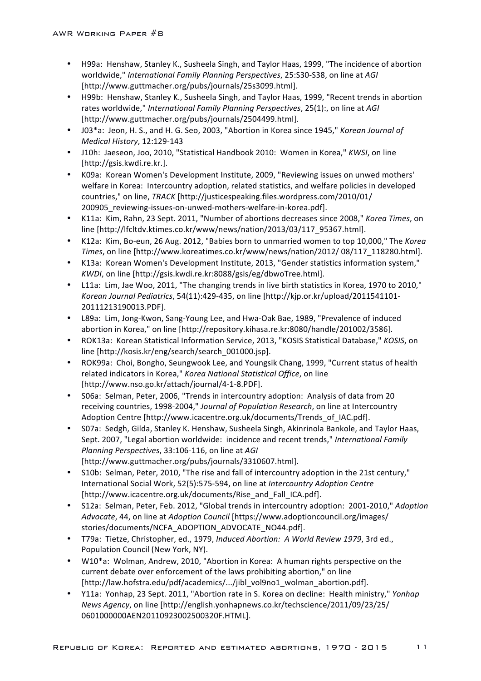- H99a: Henshaw, Stanley K., Susheela Singh, and Taylor Haas, 1999, "The incidence of abortion worldwide," *International Family Planning Perspectives*, 25:S30-S38, on line at *AGI* [http://www.guttmacher.org/pubs/journals/25s3099.html].
- H99b: Henshaw, Stanley K., Susheela Singh, and Taylor Haas, 1999, "Recent trends in abortion rates worldwide," *International Family Planning Perspectives*, 25(1):, on line at AGI [http://www.guttmacher.org/pubs/journals/2504499.html].
- J03\*a: Jeon, H. S., and H. G. Seo, 2003, "Abortion in Korea since 1945," *Korean Journal of Medical History*, 12:129-143
- J10h: Jaeseon, Joo, 2010, "Statistical Handbook 2010: Women in Korea," KWSI, on line [http://gsis.kwdi.re.kr.].
- K09a: Korean Women's Development Institute, 2009, "Reviewing issues on unwed mothers' welfare in Korea: Intercountry adoption, related statistics, and welfare policies in developed countries," on line, *TRACK* [http://justicespeaking.files.wordpress.com/2010/01/ 200905\_reviewing-issues-on-unwed-mothers-welfare-in-korea.pdf].
- K11a: Kim, Rahn, 23 Sept. 2011, "Number of abortions decreases since 2008," *Korea Times*, on line [http://lfcltdv.ktimes.co.kr/www/news/nation/2013/03/117\_95367.html].
- K12a: Kim, Bo-eun, 26 Aug. 2012, "Babies born to unmarried women to top 10,000," The Korea *Times*, on line [http://www.koreatimes.co.kr/www/news/nation/2012/ 08/117\_118280.html].
- K13a: Korean Women's Development Institute, 2013, "Gender statistics information system," *KWDI*, on line [http://gsis.kwdi.re.kr:8088/gsis/eg/dbwoTree.html].
- L11a: Lim, Jae Woo, 2011, "The changing trends in live birth statistics in Korea, 1970 to 2010," *Korean Journal Pediatrics*, 54(11):429-435, on line [http://kjp.or.kr/upload/2011541101-20111213190013.PDF].
- L89a: Lim, Jong-Kwon, Sang-Young Lee, and Hwa-Oak Bae, 1989, "Prevalence of induced abortion in Korea," on line [http://repository.kihasa.re.kr:8080/handle/201002/3586].
- ROK13a: Korean Statistical Information Service, 2013, "KOSIS Statistical Database," *KOSIS*, on line [http://kosis.kr/eng/search/search\_001000.jsp].
- ROK99a: Choi, Bongho, Seungwook Lee, and Youngsik Chang, 1999, "Current status of health related indicators in Korea," Korea National Statistical Office, on line [http://www.nso.go.kr/attach/journal/4-1-8.PDF].
- S06a: Selman, Peter, 2006, "Trends in intercountry adoption: Analysis of data from 20 receiving countries, 1998-2004," *Journal of Population Research*, on line at Intercountry Adoption Centre [http://www.icacentre.org.uk/documents/Trends\_of\_IAC.pdf].
- S07a: Sedgh, Gilda, Stanley K. Henshaw, Susheela Singh, Akinrinola Bankole, and Taylor Haas, Sept. 2007, "Legal abortion worldwide: incidence and recent trends," *International Family Planning Perspectives*, 33:106-116, on line at *AGI* [http://www.guttmacher.org/pubs/journals/3310607.html].
- S10b: Selman, Peter, 2010, "The rise and fall of intercountry adoption in the 21st century," International Social Work, 52(5):575-594, on line at *Intercountry Adoption Centre* [http://www.icacentre.org.uk/documents/Rise\_and\_Fall\_ICA.pdf].
- S12a: Selman, Peter, Feb. 2012, "Global trends in intercountry adoption: 2001-2010," *Adoption*  Advocate, 44, on line at *Adoption Council* [https://www.adoptioncouncil.org/images/ stories/documents/NCFA\_ADOPTION\_ADVOCATE\_NO44.pdf].
- T79a: Tietze, Christopher, ed., 1979, *Induced Abortion: A World Review 1979*, 3rd ed., Population Council (New York, NY).
- W10\*a: Wolman, Andrew, 2010, "Abortion in Korea: A human rights perspective on the current debate over enforcement of the laws prohibiting abortion," on line [http://law.hofstra.edu/pdf/academics/.../jibl\_vol9no1\_wolman\_abortion.pdf].
- Y11a: Yonhap, 23 Sept. 2011, "Abortion rate in S. Korea on decline: Health ministry," *Yonhap News Agency*, on line [http://english.yonhapnews.co.kr/techscience/2011/09/23/25/ 0601000000AEN20110923002500320F.HTML].